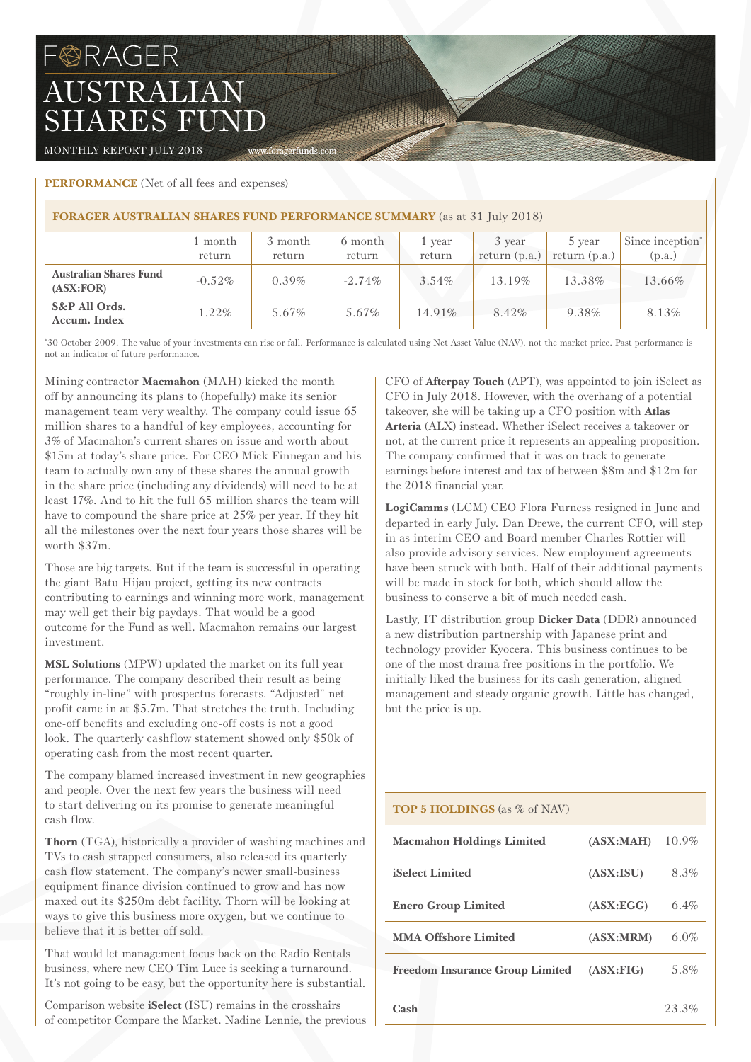# **BRAGER** AUSTRALIAN SHARES FUND

MONTHLY REPORT JULY 2018 www.foragerfunds.com

# **Performance** (Net of all fees and expenses)

| <b>FORAGER AUSTRALIAN SHARES FUND PERFORMANCE SUMMARY</b> (as at 31 July 2018) |                   |                   |                   |                  |                           |                           |                                        |  |
|--------------------------------------------------------------------------------|-------------------|-------------------|-------------------|------------------|---------------------------|---------------------------|----------------------------------------|--|
|                                                                                | 1 month<br>return | 3 month<br>return | 6 month<br>return | 1 year<br>return | 3 year<br>return $(p.a.)$ | 5 year<br>return $(p.a.)$ | Since inception <sup>*</sup><br>(p.a.) |  |
| <b>Australian Shares Fund</b><br>(ASK:FOR)                                     | $-0.52\%$         | $0.39\%$          | $-2.74\%$         | $3.54\%$         | $13.19\%$                 | 13.38%                    | 13.66%                                 |  |
| S&P All Ords.<br>Accum. Index                                                  | $1.22\%$          | 5.67%             | 5.67%             | 14.91%           | $8.42\%$                  | 9.38%                     | 8.13%                                  |  |

The Company of the Company of

\* 30 October 2009. The value of your investments can rise or fall. Performance is calculated using Net Asset Value (NAV), not the market price. Past performance is not an indicator of future performance.

Mining contractor **Macmahon** (MAH) kicked the month off by announcing its plans to (hopefully) make its senior management team very wealthy. The company could issue 65 million shares to a handful of key employees, accounting for 3% of Macmahon's current shares on issue and worth about \$15m at today's share price. For CEO Mick Finnegan and his team to actually own any of these shares the annual growth in the share price (including any dividends) will need to be at least 17%. And to hit the full 65 million shares the team will have to compound the share price at 25% per year. If they hit all the milestones over the next four years those shares will be worth \$37m.

Those are big targets. But if the team is successful in operating the giant Batu Hijau project, getting its new contracts contributing to earnings and winning more work, management may well get their big paydays. That would be a good outcome for the Fund as well. Macmahon remains our largest investment.

**MSL Solutions** (MPW) updated the market on its full year performance. The company described their result as being "roughly in-line" with prospectus forecasts. "Adjusted" net profit came in at \$5.7m. That stretches the truth. Including one-off benefits and excluding one-off costs is not a good look. The quarterly cashflow statement showed only \$50k of operating cash from the most recent quarter.

The company blamed increased investment in new geographies and people. Over the next few years the business will need to start delivering on its promise to generate meaningful cash flow.

**Thorn** (TGA), historically a provider of washing machines and TVs to cash strapped consumers, also released its quarterly cash flow statement. The company's newer small-business equipment finance division continued to grow and has now maxed out its \$250m debt facility. Thorn will be looking at ways to give this business more oxygen, but we continue to believe that it is better off sold.

That would let management focus back on the Radio Rentals business, where new CEO Tim Luce is seeking a turnaround. It's not going to be easy, but the opportunity here is substantial.

Comparison website **iSelect** (ISU) remains in the crosshairs of competitor Compare the Market. Nadine Lennie, the previous CFO of **Afterpay Touch** (APT), was appointed to join iSelect as CFO in July 2018. However, with the overhang of a potential takeover, she will be taking up a CFO position with **Atlas Arteria** (ALX) instead. Whether iSelect receives a takeover or not, at the current price it represents an appealing proposition. The company confirmed that it was on track to generate earnings before interest and tax of between \$8m and \$12m for the 2018 financial year.

**LogiCamms** (LCM) CEO Flora Furness resigned in June and departed in early July. Dan Drewe, the current CFO, will step in as interim CEO and Board member Charles Rottier will also provide advisory services. New employment agreements have been struck with both. Half of their additional payments will be made in stock for both, which should allow the business to conserve a bit of much needed cash.

Lastly, IT distribution group **Dicker Data** (DDR) announced a new distribution partnership with Japanese print and technology provider Kyocera. This business continues to be one of the most drama free positions in the portfolio. We initially liked the business for its cash generation, aligned management and steady organic growth. Little has changed, but the price is up.

# **TOP 5 HOLDINGS** (as % of NAV)

| <b>Macmahon Holdings Limited</b>       | (ASK:MAH)  | $10.9\%$ |
|----------------------------------------|------------|----------|
| <b>iSelect Limited</b>                 | (ASK:ISU)  | 8.3%     |
| <b>Enero Group Limited</b>             | (ASK:EGG)  | $6.4\%$  |
| <b>MMA Offshore Limited</b>            | (ASK: MRM) | 6.0%     |
| <b>Freedom Insurance Group Limited</b> | (ASK:FIG)  | 5.8%     |
| Cash                                   |            | 23.3%    |